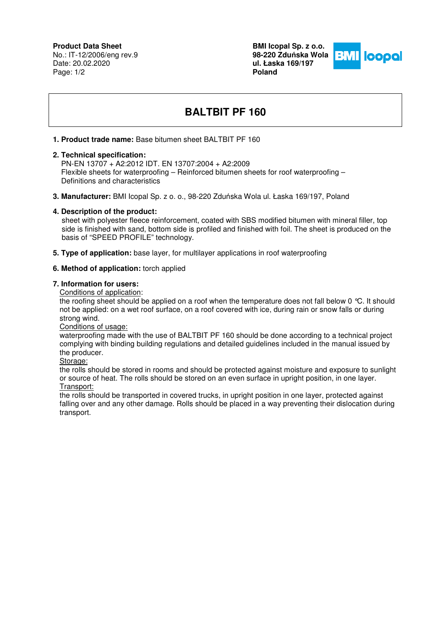# **Product Data Sheet**

No.: IT-12/2006/eng rev.9 Date: 20.02.2020 Page: 1/2

**BMI Icopal Sp. z o.o. 98-220 Zdu**ń**ska Wola ul. Łaska 169/197 Poland** 



# **BALTBIT PF 160**

## **1. Product trade name:** Base bitumen sheet BALTBIT PF 160

### **2. Technical specification:**

 PN-EN 13707 + A2:2012 IDT. EN 13707:2004 + A2:2009 Flexible sheets for waterproofing – Reinforced bitumen sheets for roof waterproofing – Definitions and characteristics

**3. Manufacturer:** BMI Icopal Sp. z o. o., 98-220 Zduńska Wola ul. Łaska 169/197, Poland

### **4. Description of the product:**

 sheet with polyester fleece reinforcement, coated with SBS modified bitumen with mineral filler, top side is finished with sand, bottom side is profiled and finished with foil. The sheet is produced on the basis of "SPEED PROFILE" technology.

**5. Type of application:** base layer, for multilayer applications in roof waterproofing

### **6. Method of application:** torch applied

#### **7. Information for users:**

Conditions of application:

the roofing sheet should be applied on a roof when the temperature does not fall below 0 °C. It should not be applied: on a wet roof surface, on a roof covered with ice, during rain or snow falls or during strong wind.

#### Conditions of usage:

waterproofing made with the use of BALTBIT PF 160 should be done according to a technical project complying with binding building regulations and detailed guidelines included in the manual issued by the producer.

Storage:

the rolls should be stored in rooms and should be protected against moisture and exposure to sunlight or source of heat. The rolls should be stored on an even surface in upright position, in one layer. Transport:

the rolls should be transported in covered trucks, in upright position in one layer, protected against falling over and any other damage. Rolls should be placed in a way preventing their dislocation during transport.